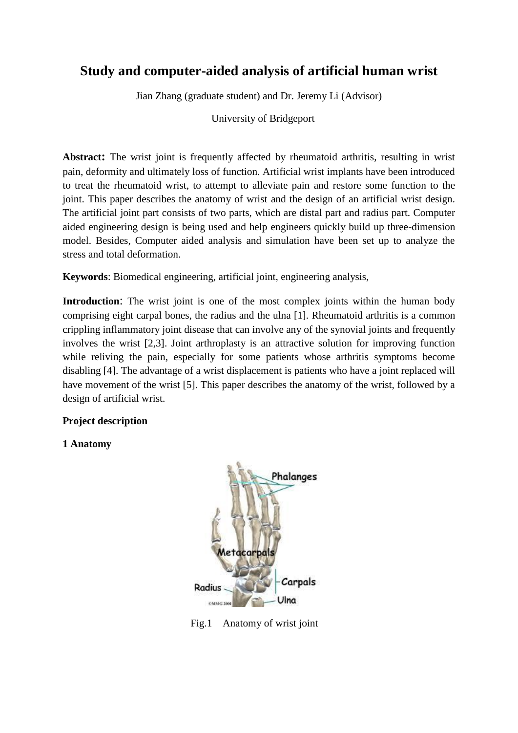# **Study and computer-aided analysis of artificial human wrist**

Jian Zhang (graduate student) and Dr. Jeremy Li (Advisor)

University of Bridgeport

**Abstract:** The wrist joint is frequently affected by rheumatoid arthritis, resulting in wrist pain, deformity and ultimately loss of function. Artificial wrist implants have been introduced to treat the rheumatoid wrist, to attempt to alleviate pain and restore some function to the joint. This paper describes the anatomy of wrist and the design of an artificial wrist design. The artificial joint part consists of two parts, which are distal part and radius part. Computer aided engineering design is being used and help engineers quickly build up three-dimension model. Besides, Computer aided analysis and simulation have been set up to analyze the stress and total deformation.

**Keywords**: Biomedical engineering, artificial joint, engineering analysis,

**Introduction:** The wrist joint is one of the most complex joints within the human body comprising eight carpal bones, the radius and the ulna [1]. Rheumatoid arthritis is a common crippling inflammatory joint disease that can involve any of the synovial joints and frequently involves the wrist [2,3]. Joint arthroplasty is an attractive solution for improving function while reliving the pain, especially for some patients whose arthritis symptoms become disabling [4]. The advantage of a wrist displacement is patients who have a joint replaced will have movement of the wrist [5]. This paper describes the anatomy of the wrist, followed by a design of artificial wrist.

# **Project description**

# **1 Anatomy**



Fig.1 Anatomy of wrist joint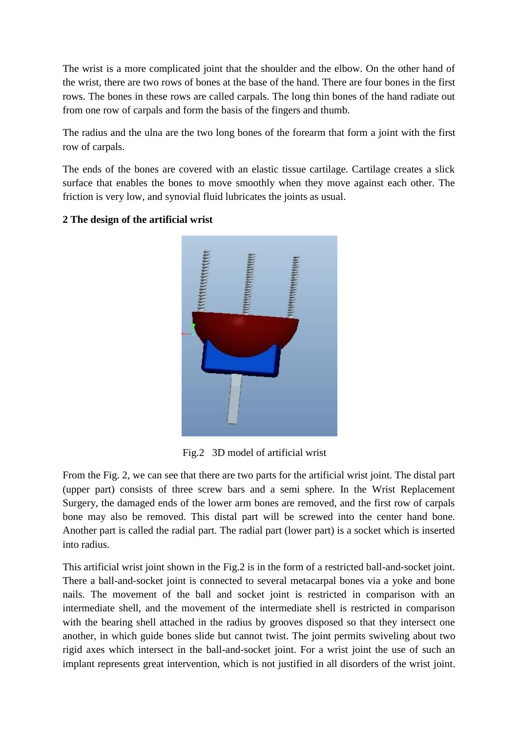The wrist is a more complicated joint that the shoulder and the elbow. On the other hand of the wrist, there are two rows of bones at the base of the hand. There are four bones in the first rows. The bones in these rows are called carpals. The long thin bones of the hand radiate out from one row of carpals and form the basis of the fingers and thumb.

The radius and the ulna are the two long bones of the forearm that form a joint with the first row of carpals.

The ends of the bones are covered with an elastic tissue cartilage. Cartilage creates a slick surface that enables the bones to move smoothly when they move against each other. The friction is very low, and synovial fluid lubricates the joints as usual.



# **2 The design of the artificial wrist**

Fig.2 3D model of artificial wrist

From the Fig. 2, we can see that there are two parts for the artificial wrist joint. The distal part (upper part) consists of three screw bars and a semi sphere. In the Wrist Replacement Surgery, the damaged ends of the lower arm bones are removed, and the first row of carpals bone may also be removed. This distal part will be screwed into the center hand bone. Another part is called the radial part. The radial part (lower part) is a socket which is inserted into radius.

This artificial wrist joint shown in the Fig.2 is in the form of a restricted ball-and-socket joint. There a ball-and-socket joint is connected to several metacarpal bones via a yoke and bone nails. The movement of the ball and socket joint is restricted in comparison with an intermediate shell, and the movement of the intermediate shell is restricted in comparison with the bearing shell attached in the radius by grooves disposed so that they intersect one another, in which guide bones slide but cannot twist. The joint permits swiveling about two rigid axes which intersect in the ball-and-socket joint. For a wrist joint the use of such an implant represents great intervention, which is not justified in all disorders of the wrist joint.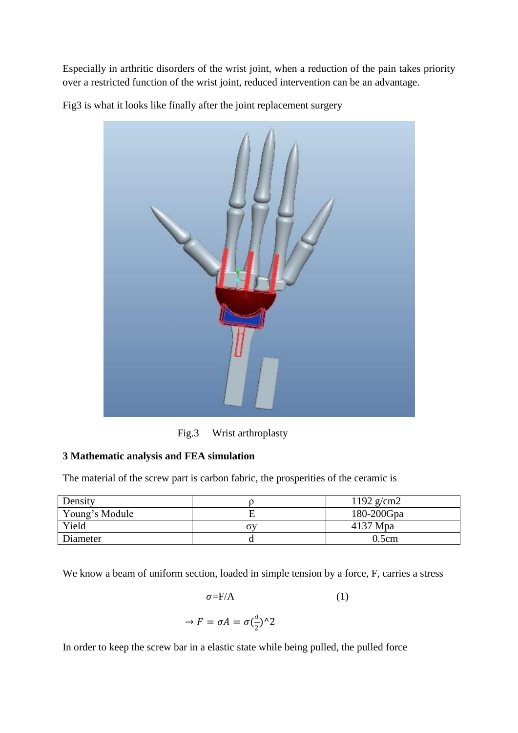Especially in arthritic disorders of the wrist joint, when a reduction of the pain takes priority over a restricted function of the wrist joint, reduced intervention can be an advantage.

Fig3 is what it looks like finally after the joint replacement surgery



Fig.3 Wrist arthroplasty

# **3 Mathematic analysis and FEA simulation**

The material of the screw part is carbon fabric, the prosperities of the ceramic is

| Density        | 1192 $g/cm2$  |
|----------------|---------------|
| Young's Module | $180-200$ Gpa |
| Yield          | $4137$ Mpa    |
| Diameter       | 0.5cm         |

We know a beam of uniform section, loaded in simple tension by a force, F, carries a stress

$$
\sigma = \mathbf{F}/\mathbf{A} \tag{1}
$$

$$
\rightarrow F = \sigma A = \sigma(\frac{d}{2})^2
$$

In order to keep the screw bar in a elastic state while being pulled, the pulled force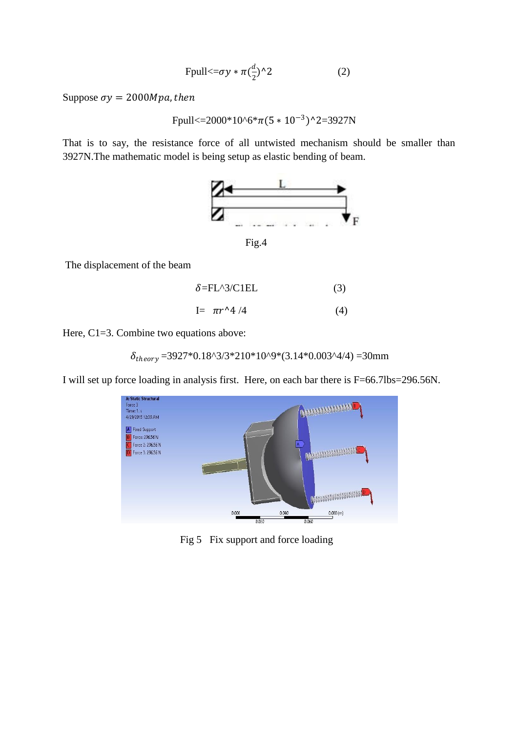$$
\text{Fpull} < = \sigma y * \pi \left(\frac{d}{2}\right) \wedge 2 \tag{2}
$$

Suppose  $\sigma y = 2000Mpa$ , then

$$
Fpull \textless= 2000*10^6* \pi (5*10^{-3})^2 = 3927N
$$

That is to say, the resistance force of all untwisted mechanism should be smaller than 3927N.The mathematic model is being setup as elastic bending of beam.



The displacement of the beam

$$
\delta = FL^3/C1EL \tag{3}
$$

$$
I = \pi r^4 / 4 \tag{4}
$$

Here, C1=3. Combine two equations above:

$$
\delta_{theory} = 3927 \times 0.18^3 / 3 \times 210 \times 10^3 / 9 \times (3.14 \times 0.003 \times 4/4) = 30 \text{mm}
$$

I will set up force loading in analysis first. Here, on each bar there is F=66.7lbs=296.56N.



Fig 5 Fix support and force loading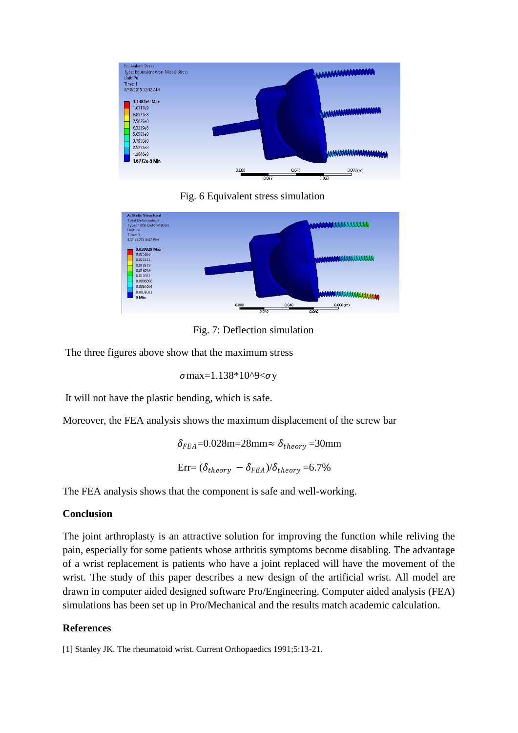

Fig. 6 Equivalent stress simulation



Fig. 7: Deflection simulation

The three figures above show that the maximum stress

 $\sigma$ max=1.138\*10^9< $\sigma$ y

It will not have the plastic bending, which is safe.

Moreover, the FEA analysis shows the maximum displacement of the screw bar

 $\delta_{FEA}$ =0.028m=28mm≈  $\delta_{theory}$ =30mm  $Err = (\delta_{theory} - \delta_{FFA})/\delta_{theory} = 6.7\%$ 

The FEA analysis shows that the component is safe and well-working.

# **Conclusion**

The joint arthroplasty is an attractive solution for improving the function while reliving the pain, especially for some patients whose arthritis symptoms become disabling. The advantage of a wrist replacement is patients who have a joint replaced will have the movement of the wrist. The study of this paper describes a new design of the artificial wrist. All model are drawn in computer aided designed software Pro/Engineering. Computer aided analysis (FEA) simulations has been set up in Pro/Mechanical and the results match academic calculation.

# **References**

[1] Stanley JK. The rheumatoid wrist. Current Orthopaedics 1991;5:13-21.